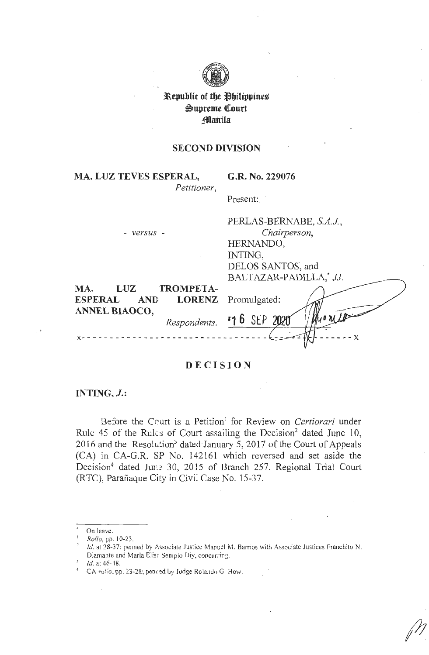

# **i\.epublic of tbe ~bilippine~**   $\mathfrak{S}$ upreme Court **;ffiaitila**

### **SECOND DIVISION**

**MA. LUZ TEVES ESPERAL,** *Petitioner,*  **G.R. No. 229076** 

Present:

**x-** - - - - - - - - - - - - - - - - - - - - - - - - - - - - - - - -

|                                           | PERLAS-BERNABE, S.A.J.,    |
|-------------------------------------------|----------------------------|
| - versus -                                | Chairperson,               |
|                                           | HERNANDO,                  |
|                                           | INTING,                    |
|                                           | DELOS SANTOS, and          |
|                                           | BALTAZAR-PADILLA,* JJ.     |
| TROMPETA-<br>LUZ<br>MA.                   |                            |
| <b>ESPERAL</b><br>AND LORENZ Promulgated: |                            |
| ANNEL BIAOCO,                             | Myonta                     |
|                                           | Respondents. "1 6 SEP 2020 |

 $- - X$ 

### **DECISION**

# **INTJNG,** *J.:*

Before the Court is a Petition<sup>1</sup> for Review on *Certiorari* under Rule 45 of the Rules of Court assailing the Decision<sup>2</sup> dated June 10, 2016 and the Resolution<sup>3</sup> dated January 5, 2017 of the Court of Appeals (CA) in CA-G.R. SP No. 142161 which reversed and set aside the Decision<sup>4</sup> dated Jur.: 30, 2015 of Branch 257, Regional Trial Court (RTC), Parafiaque City in Civil Case No. 15-37.

On leave.

<sup>1</sup>*Rollo,* pp. I 0-23.

Id. at 28-37: penned by Associate Justice Manuel M. Barrios with Associate Justices Franchito N. Diamante and Maria Elisr Sempio Diy, concurring.<br>Id. at 46.48.

<sup>&</sup>lt;sup>4</sup> CA *rolio*, pp. 23-28; penred by Judge Rolando G. How.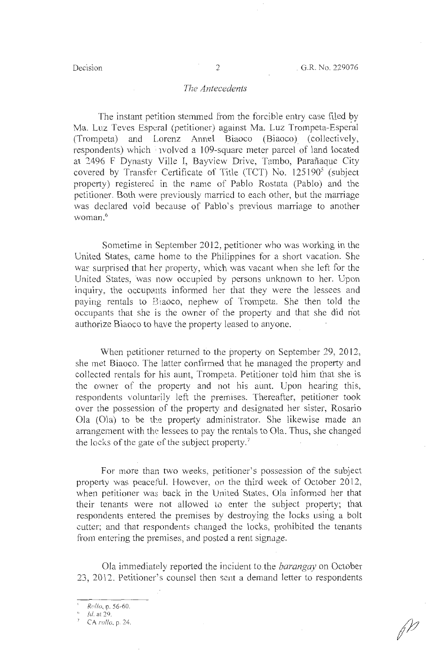#### *The Antecedents*

The instant petition stemmed from the forcible entry case filed by Ma. Luz Teves Esperal (petitioner) against Ma. Luz Trompeta-Esperal (Trompeta) and Lorenz Anne! Biaoco (Biaoco) (collectively, respondents) which *v*olved a 109-square meter parcel of land located at 2496 F Dynasty Ville I, Bayview Drive, Tambo, Parafiaque City covered by Transfer Certificate of Title (TCT) No.  $125190^5$  (subject property) registered in the name of Pablo Rostata (Pablo) and the petitioner. Both were previously married to each other, but the marriage was declared void because of Pablo's previous marriage to another woman. 6

Sometime in September 2012, petitioner who was working in the United States, came home to the Philippines for a short vacation. She was surprised that her property, which was vacant when she left for the United States, was now occupied by persons unknown to her. Upon inquiry, the occupants informed her that they were the lessees and paying rentals to B1aoco, nephew of Trompeta. She then told the occupants that she is the owner of the property and that she did not authorize Biaoco to have the property leased to anyone.

When petitioner returned to the property on September 29, 2012, she met Biaoco. The latter confirrned that he managed the property and collected rentals for his aunt, Trompeta. Petitioner told him that she is the owner of the property and not his aunt. Upon hearing this, respondents voluntarily left the premises. Thereafter, petitioner took over the possession of the property and designated her sister, Rosario Ola (Ola) to be the property administrator. She likewise made an arrangement with the lessees to pay the rentals to Ola. Thus, she changed the locks of the gate of the subject property. $7$ 

For more than two weeks, petitioner's possession of the subject property was peaceful. However, on the third week of October 2012, when petitioner was back in the United States, Ola infonned her that their tenants were not allowed to enter the subject property; that respondents entered the premises by destroying the locks using a bolt cutter; and that respondents changed the locks, prohibited the tenants from entering the premises, and posted a rent signage.

Ola immediately reported the incident to. the *barangay* on October 23, 2012. Petitioner's counsel then sent a demand letter to respondents

<sup>&#</sup>x27; *Rollo,* p. 56-60.

<sup>~</sup> Id. at 29.

<sup>7</sup>CA *rollo,* p. 24.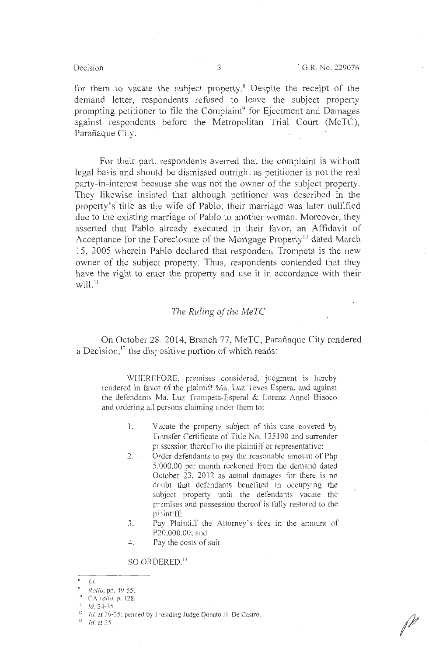$\mathbb{P}$  .

for them to vacate the subject property.8 Despite the receipt of the demand letter, respondents refused to leave the subject property prompting petitioner to file the Compiaint<sup>9</sup> for Ejectment and Damages against respondents before the Metropolitan Trial Court (MeTC), Parafiaque City.

For their part, respondents averred that the complaint is without legal basis and should be dismissed outright as petitioner is not the real party-in-interest because she was not the owner of the subject property. They likewise insisted that although petitioner was described in the property's title as the wife of Pablo, their marriage was later nullified due to the existing marriage of Pablo to another woman. Moreover, they asserted that Pablo already executed in their favor, an Affidavit of Acceptance for the Foreclosure of the Mortgage Property<sup>10</sup> dated March 15, 2005 wherein Pablo declared that respondem Trompeta is the new owner of the subject property. Thus, respondents contended that they have the right to enter the property and use it in accordance with their  $will<sup>11</sup>$ 

### *The Ruling of the MeTC*

On October 28. 2014, Branch 77, MeTC, Parafiaque City rendered a Decision,<sup>12</sup> the dis<sub>f</sub> ositive portion of which reads:

WHEREFORE, premises considered, judgment is hereby rendered in favor of the plaintiff Ma. Luz Teves Esperal and against the defendants Ma. Luz Trompeta-Esperal & Lorenz Annel Biaoco and ordering all persons claiming under them to:

- 1. Vacate the property subject of this case covered by Transfer Certificate of Title No. 125190 and surrender p< ssession thereof to lhe plaintiff or representative;
- 2. Order defendants to pay the reasonable amount of Php 5.000.00 per month reckoned from the demand dated October 23, 2012 as actual damages for there is no drubt that defendants benefited in occupying the subject property until the defendants vacate the premises and possession thereof is fully restored to the pi 1intiff;
- 3. Pay Plaintiff the Attorney's fees in the amount of P20,000.00; and
- 4. Pay the costs of suit.

#### SO ORDERED.<sup>13</sup>

s Id.

<sup>&</sup>quot; *Rollo,* pp. 49-55.

<sup>&</sup>lt;sup>10</sup> CA *rollo*, p. 128.<br><sup>11</sup> Id. 24-25.

<sup>&</sup>lt;sup>12</sup> Id. at 30-35; penned by F-esiding Judge Donato H. De Castro. <sup>13</sup> Id. at 35.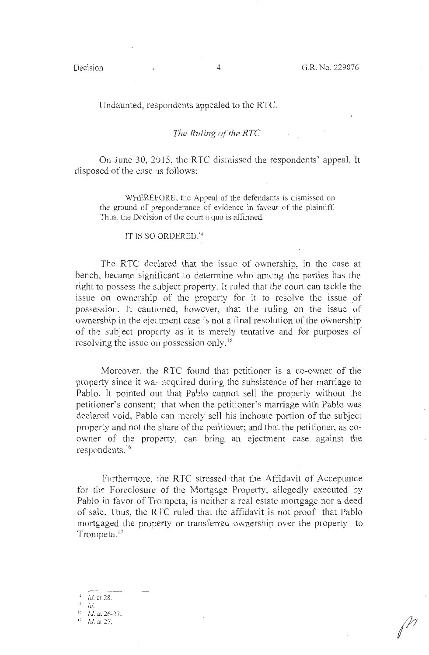#### Undaunted, respondents appealed to the RTC.

### *The Ruling of the RTC*

On June 30, 2015, the RTC dismissed the respondents' appeal. It disposed of the case :1s follows:

WHEREFORE, the Appeal of the defendants is dismissed on the ground of preponderance of evidence in favour of the plaintiff. Thus, the Decision of the court a quo is affirmed.

### IT IS SO ORDERED. <sup>14</sup>

The RTC declared that the issue of ownership, in the case at bench, became significant to determine who among the parties has the right to possess the s.1bject property. ft ruled that the court can tackle the issue on ownership of the property for it to resolve the issue of possession. It cauticned, however, that the ruling on the issue of ownership in the ejec tment case is not a final resolution of the ownership of the subject property as it is merely tentative and for purposes of resolving the issue on possession only.<sup>15</sup>

Moreover, the RTC found that petitioner is a co-owner of the property since it was acquired during the subsistence of her marriage to Pablo. It pointed out that Pablo cannot sell the property without the petitioner's consent; that when the petitioner's marriage with Pablo was declared void, Pablo can merely sell his inchoate portion of the subject property and not the share of the petitioner; and that the petitioner, as coowner of the property, can bring an ejectment case against the respondents.<sup>16</sup>

Furthermore, the RTC stressed that the Affidavit of Acceptance for the Foreclosure of the Mortgage Property, allegedly executed by Pablo in favor of Trompeta, is neither a real estate mortgage nor a deed of sale. Thus, the RTC ruled that the affidavit is not" proof that Pablo mortgaged the property or transferred ownership over the property to Trompeta.<sup>17</sup>

 $14$  *Id.* at 28.

 $15$  Id.

 $16$  *Id.* at 26-27.

*Id.* at 27.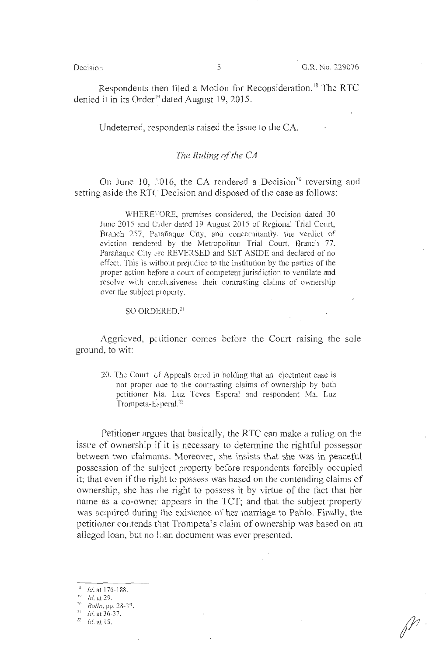Respondents then filed a Motion for Reconsideration.<sup>18</sup> The RTC denied it in its Order<sup>19</sup> dated August 19, 2015.

Undeterred, respondents raised the issue to the CA.

#### *The Ruling of the CA*

On June 10,  $\approx 10.16$ , the CA rendered a Decision<sup>20</sup> reversing and setting aside the RTC Decision and disposed of the case as follows:

WHERE'-'ORE, premises considered, the Decision dated 30 June 2015 and Crder dated 19 August 2015 of Regional Trial Court, Branch 257, Parañaque City, and concomitantly, the verdict of eviction rendered by the Metropolitan Trial Court, Branch 77, Parañaque City are REVERSED and SET ASIDE and declared of no effect. This is without prejudice to the institution by the parties of the proper action before a court of competent jurisdiction to ventilate and resolve with conclusiveness their contrasting claims of ownership over the subject property.

 $SO$  ORDERED.<sup>21</sup>

Aggrieved, petitioner comes before the Court raising the sole ground, to wit:

20. The Court of Appeals erred in holding that an ejectment case is not proper due to the contrasting claims of ownership by both petitioner Ma. Luz Teves Esperal and respondent Ma. Luz Trompeta-E<sub>2</sub> peral.<sup>22</sup>

Petitioner argues that basically, the RTC can make a ruling on the issue of ownership if it is necessary to determine the rightful possessor between two claimants. Moreover, she insists that she was in peaceful possession of the subject property before respondents forcibly occupied it; that even if the right to possess was based on the contending claims of ownership, she has rhe right to possess it by virtue of the fact that her name as a co-owner appears in the TCT; and that the subject ·property was acquired during the existence of her marriage to Pablo. Finally, the petitioner contends that Trompeta's claim of ownership was based on an alleged loan, but no Lian document was ever presented.

 $16$  Id. at 176-188.

 $10^{10}$  *Id.* at 29.

<sup>&</sup>lt;sup>20</sup> *Rollo*, pp. 28-37.<br><sup>21</sup> *Id.* at 36-37.

<sup>&</sup>lt;sup>22</sup> *Id.* at 15.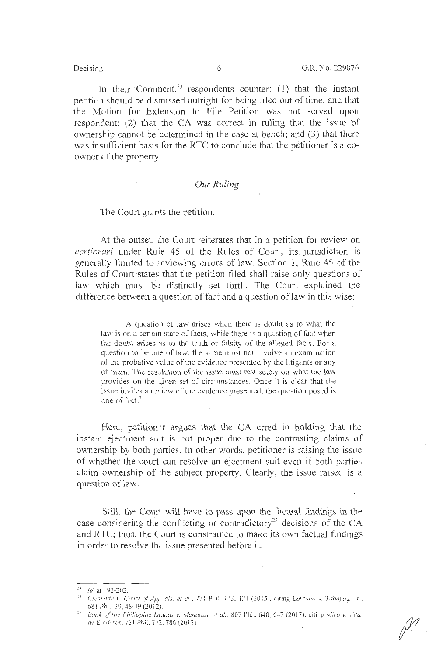In their Comment,<sup>23</sup> respondents counter: (1) that the instant petition should be dismissed outright for being filed out of time, and that the Motion for Extension to File Petition was not served upon respondent;  $(2)$  that the CA was correct in ruling that the issue of ownership cannot be determined in the case at bench; and  $(3)$  that there was insufficient basis for the RTC to conclude that the petitioner is a coowner of the property.

#### *Our Ruling*

The Court grants the petition.

At the outset, the Court reiterates that in a petition for review on *certiorari* under Rule 45 of the Rules of Court, its jurisdiction is generally limited to reviewing errors of law. Section 1, Rule 45 of the Rules of Court ·states that the petition filed shall raise only questions of law which must be distinctly set forth. The Court explained the difference between a question of fact and a question of law in this wise:

A question of law arises when there is doubt as to what the law is on a certain state of facts, while there is a question of fact when the doubt arises as to the truth or falsity of the alleged facts. For a question to be one of law, the same must not involve an examination of the probative value of the evidence presented by the litigants or any of them. The res. Jution of the issue must rest solely on what the law provides on the given set of circumstances. Once it is clear that the issue invites a review of the evidence presented, the question posed is one of fact. *<sup>2</sup> ~* 

Here, petition, r argues that the CA erred in holding that the instant ejectment suit is not proper due to the contrasting claims of ownership by both parties. In other words, petitioner is raising the issue of whether the court can resolve an ejectment suit even if both parties claim ownership of the subject property. Clearly, the issue raised is a question of law.

Still, the Court will have to pass upon the factual findings in the case considering the conflicting or contradictory<sup>25</sup> decisions of the CA and RTC; thus, the C ourt is constrained to make its own factual findings in order to resolve the issue presented before it.

<sup>&</sup>lt;sup>23</sup> *1d.* at 192-202.<br><sup>24</sup> Clemente *v. Court of ApJ, als, et al., 77:* Phil. 113, 121 (2015), citing *Lorzano v. Tabayag, Jr.*, 6S1 Phil. 39, 48-49 (2012).

<sup>&</sup>lt;sup>25</sup> Bank of the Philippine Islands v. Mendoza, et al., 807 Phil. 640, 647 (2017), citing *Miro v Vda. de Erederos, 721 Phil. 772, 786 (2013).*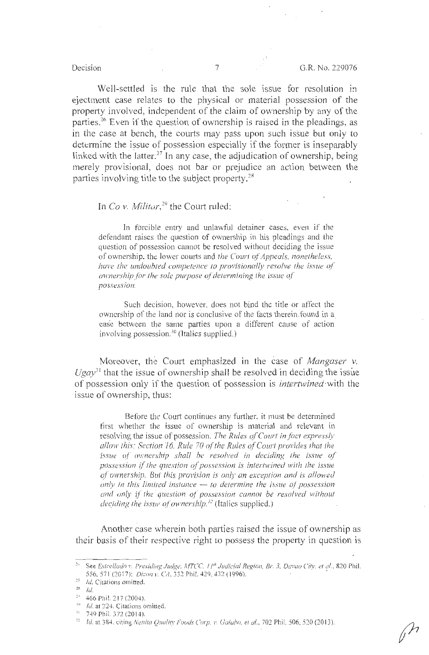Well-settled is the rule that the sole issue for resolution in ejectment case relates to the physical or material possession of the property involved, independent of the claim of ownership by any of the parties.<sup>26</sup> Even if the question of ownership is raised in the pleadings, as in the case at bench, the courts may pass upon such issue but only to determine the issue of possession especially if the former is inseparably linked with the latter.<sup>27</sup> In any case, the adjudication of ownership, being merely provisional, does not bar or prejudice an action between the parties involving title to the subject property.28

# In *Co v. Militar*,<sup>29</sup> the Court ruled:

In forcible entry and unlawful detainer cases, even if the defendant raises the question of ownership in his pleadings and the question of possession cannot be resolved without deciding the issue of ownership, the. lower coutts and *the Court of Appeals, nonetheless, have the undoubted competence to provisionally resolve the issue of ownership for the sole purpose of determining the issue of possession.* 

Such decision, however, does not bind the title or affect the ownership of the land nor is conclusive of the facts therein .found in a. case between the same parties upon a different cause of action involving possession.<sup>30</sup> (Italics supplied.)

Moreover, the Court emphasized in the case of *Mangaser V.*   $Ugav<sup>31</sup>$  that the issue of ownership shall be resolved in deciding the issue of possession only if the question of possession is *intertwined-with* the issue of ownership, thus:

Before the Court continues any further, it must be determined first whether the issue of ownership is material and relevant in resolving the issue of possession. *The Rules of Court in.fact expressly*  allow this: Section 16, Rule 70 of the Rules of Court provides that the *issue of ownership shall be resolved in deciding the issue of possession if the question of possession is intertwined with the issue* of ownership. But this provision is only an exception and is allowed *only in this limited instance – to determine the issue of possession and only if the question of possession cannot be resolved without deciding the issue of ownership.*<sup>32</sup> (Italics supplied.)

Another case wherein both parties raised the issue of ownership as their basis of their respective right to possess the property in question is

<sup>&#</sup>x27;" **See** *Eslrel/ado v. Presiding Judge,* MTCC. I I'" *Judicial Region, Br.* 3, *Davao City. et al. ,* 820 Phil. 556, 571 (2017); *Dizon v. CA*, 332 Phil. 429, 432 (1996).

 $1/27$  *Id.* Citations omitted.

 $\frac{28}{10}$ 

<sup>&</sup>lt;sup>29</sup> 466 Phil. 217 (2004).

<sup>&</sup>lt;sup>30</sup> *Id.* at 224. Citations omitted.

 $11 - 749$  Phil. 372 (2014).

<sup>&</sup>lt;sup>52</sup> Id. at 384, citing *Nenita Quality Foods Corp. v. Galabo, et al.*, 702 Phil. 506, 520 (2013).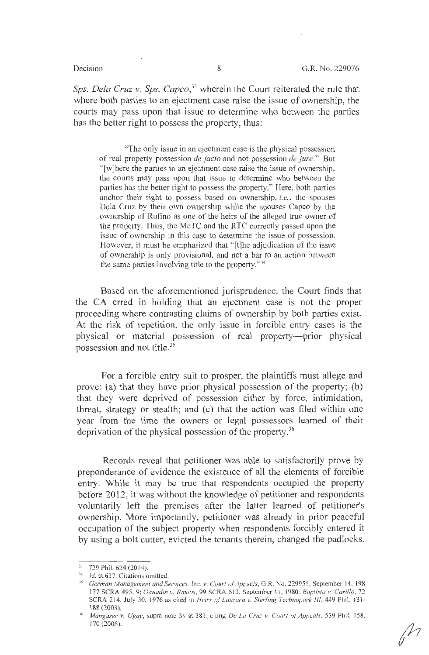Sps. Dela Cruz v. Sps. Capco,<sup>33</sup> wherein the Court reiterated the rule that where both parties to an ejectment case raise the issue of ownership, the courts may pass upon that issue to determine who between the parties has the better right to possess the property, thus:

"The only issue in an ejectment case is the physical possession of real property possession *de facto* and not possession *de Jure."* But "[w]here the parties to an ejectment case raise the issue of ownership, the courts may pass upon that issue to determine who between the parties has the better right to possess the property." Here, both parties anchor their right to possess based on ownership, *i.e.,* the spouses Dela Cruz by their own ownership while the spouses Capco by the ownership of Rufino as one of the heirs of the alleged true owner of the property. Thus, the MeTC and the RTC correctly passed upon the issue of ownership in this case to determine the issue of possession. However, it must be emphasized that "[t]he adjudication of the issue of ownership is only provisional, and not a bar to an action between the same parties involving title to the property. $134$ 

Based on the aforementioned jurisprudence, the Court finds that the CA erred in holding that an ejectment case is not the proper proceeding where contrasting claims of ownership by both parties exist. At the risk of repetition, the only issue in forcible entry cases is the physical or material possession of real property-prior physical possession and not title.35

For a forcible entry suit to prosper, the plaintiffs must allege and prove: (a) that they have prior physical possession of the property; (b) that they were deprived of possession either by force, intimidation, threat, strategy or stealth; and (c) that the action was filed within one year from the time the owners or legal possessors learned of their deprivation of the physical possession of the property.<sup>36</sup>

Records reveal that petitioner was able to satisfactorily prove by preponderance of evidence the existence of all the elements of forcible entry. While it may be true that respondents occupied the property before 2012, it was without the knowledge of petitioner and respondents voluntarily left the premises after the latter learned of petitioner's ownership. More importantly, petitioner was already in prior peaceful occupation of the subject property when respondents forcibly entered it by using a bolt cutter, evicted the tenants therein, changed the padlocks,

 $\hat{M}$ 

<sup>&</sup>lt;sup>33</sup> 729 Phil. 624 (2014).

<sup>&</sup>lt;sup>34</sup> *Id.* at 637. Citations omitted.<br><sup>35</sup> German Management and Services. Inc. v. Court of Appecls, G.R. No. 229955, September 14, 198 177 SCRA 495, 9; *Ganadin v. Ramos*, 99 SCRA 613, September 11, 1980; *Baptista v. Carillo, 72* SCRA 214, July 30, 1976 as cited in *Heirs of Laurora v. Sterling Technopark III*, 449 Phil. 181-188 (2003). 36 *Mangaser* v. *Ugay,* supra note 31 at 381 , citing *De la Cru::. v. Court oJ Appeals,* 539 Phil. 158,

<sup>170 (2006).</sup>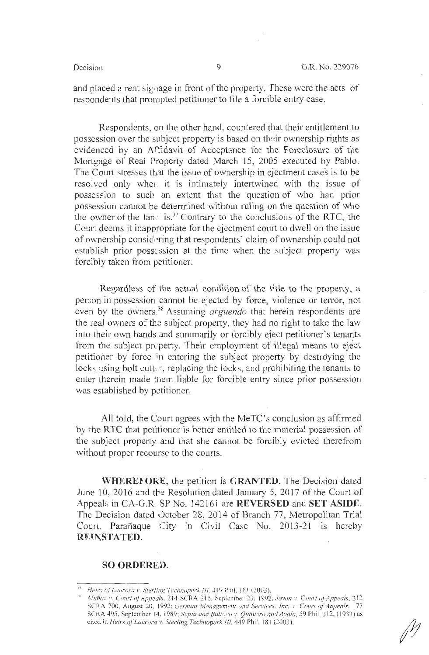and placed a rent signage in front of the property. These were the acts of respondents that prompted petitioner to file a forcible entry case.

Respondents, on the other hand, countered that their entitlement to possession over the subject property is based on their ownership rights as evidenced by an Affidavit of Acceptance for the Foreclosure of the Mortgage of Real Property dated March 15, 2005 executed by Pablo. The Court stresses that the issue of ownership in ejectment cases is to be resolved only wher it is intimately intertwined with the issue of possession to such an extent that the question of who had prior possession cannot be determined without ruling on the question of who the owner of the land is.<sup>37</sup> Contrary to the conclusions of the RTC, the Court deems it inappropriate for the ejectment court to dwell on the issue of ownership considering that respondents' claim of ownership could not establish prior possession at the time when the subject property was forcibly taken from petitioner.

Regardless of the actual condition of the title to the property, a person in possession cannot be ejected by force, violence or terror, not even by the owners. 38 Assuming *arguendo* that herein respondents are the real owners of the subject property, they had no right to take the law into their own hands and summarily or forcibly eject petitioner's tenants from the subject property. Their employment of illegal means to eject petitioner by force in entering the subject property by destroying the locks using bolt cutter, replacing the locks, and prohibiting the tenants to enter therein made tnem liable for forcible entry since prior possession was established by petitioner.

All told, the Court agrees with the MeTC's conclusion as affirmed by the RTC that petitioner is better entitled to the material possession of the subject property and that she cannot be forcibly evicted therefrom without proper recourse to the courts.

**WHEREFORE,** the petition is **GRANTED.** The Decision dated June 10, 2016 and tbe Resolution dated January 5, 2017 of the Court of Appeals in CA-G.R SP No. 142161 are **REVERSED** and **SET ASIDE.**  The Decision dated October 28, 2014 of Branch 77, Metropolitan Trial Court, Parañaque City in Civil Case No. 2013-21 is hereby **RR!NSTATED.** 

#### **SO ORDERED.**

<sup>&</sup>lt;sup>37</sup> Heirs of Laurora v. Sterling Technopark III, 449 Phil. 181 (2003).

<sup>&</sup>lt;sup>38</sup> Muñoz v. Court of *Appeals*, 214 SCRA 216, September 23. 1992; Joven v. Court of *Appeals*, 212 SCRA 700. August 20, 1992; *German Management and Services, Inc. v. Court of Appeals.* 177 SCRA 495, September 14, 1989; *Supia and Batiovov. Quintero and Ayala*, 59 Phil. 312, (1933) as cited in *Heirs of Laurora v. Sterling Technopark III*, 449 Phil. 181 (2003).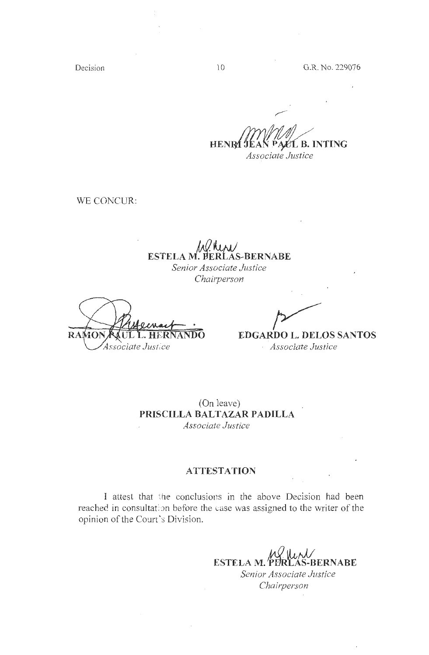Decision

**HENRI JEAN PALL B. INTING** *Associate Justice* 

WE CONCUR:

# **ESTELA M. PERLAS-BERNABE**

*Senior Associate Justice Chairperson* 

RAMO Associate Justice

**DO EDGARDO L. DELOS SANTOS**  · *Associate Justice* 

(On leave) **PRISCILLA BALTAZAR PADILLA**  *Associate Justice* 

### **ATTESTATION**

I attest that the conclusions in the above Decision had been reached in consultation before the case was assigned to the writer of the opinion of the Court's Division.

> **J,1 0 IJ , ,.J/ ESTELA M. PERLAS-BERNABE** *Senior Associate Justice Chairperson*